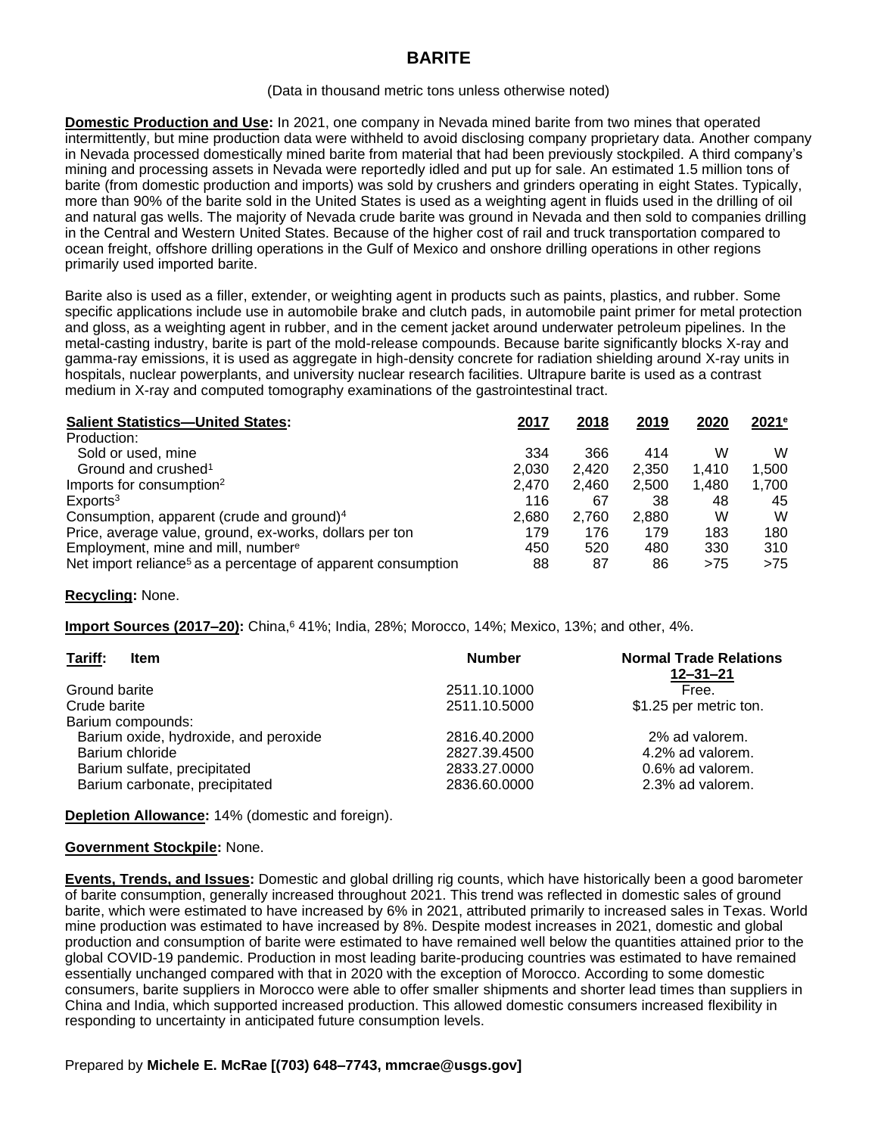# **BARITE**

#### (Data in thousand metric tons unless otherwise noted)

**Domestic Production and Use:** In 2021, one company in Nevada mined barite from two mines that operated intermittently, but mine production data were withheld to avoid disclosing company proprietary data. Another company in Nevada processed domestically mined barite from material that had been previously stockpiled. A third company's mining and processing assets in Nevada were reportedly idled and put up for sale. An estimated 1.5 million tons of barite (from domestic production and imports) was sold by crushers and grinders operating in eight States. Typically, more than 90% of the barite sold in the United States is used as a weighting agent in fluids used in the drilling of oil and natural gas wells. The majority of Nevada crude barite was ground in Nevada and then sold to companies drilling in the Central and Western United States. Because of the higher cost of rail and truck transportation compared to ocean freight, offshore drilling operations in the Gulf of Mexico and onshore drilling operations in other regions primarily used imported barite.

Barite also is used as a filler, extender, or weighting agent in products such as paints, plastics, and rubber. Some specific applications include use in automobile brake and clutch pads, in automobile paint primer for metal protection and gloss, as a weighting agent in rubber, and in the cement jacket around underwater petroleum pipelines. In the metal-casting industry, barite is part of the mold-release compounds. Because barite significantly blocks X-ray and gamma-ray emissions, it is used as aggregate in high-density concrete for radiation shielding around X-ray units in hospitals, nuclear powerplants, and university nuclear research facilities. Ultrapure barite is used as a contrast medium in X-ray and computed tomography examinations of the gastrointestinal tract.

| <b>Salient Statistics-United States:</b>                                 | 2017  | 2018  | 2019  | 2020  | 2021e |
|--------------------------------------------------------------------------|-------|-------|-------|-------|-------|
| Production:                                                              |       |       |       |       |       |
| Sold or used, mine                                                       | 334   | 366   | 414   | w     | W     |
| Ground and crushed <sup>1</sup>                                          | 2.030 | 2.420 | 2.350 | 1.410 | 1,500 |
| Imports for consumption <sup>2</sup>                                     | 2,470 | 2,460 | 2.500 | 1.480 | 1,700 |
| Exports <sup>3</sup>                                                     | 116   | 67    | 38    | 48    | 45    |
| Consumption, apparent (crude and ground) <sup>4</sup>                    | 2,680 | 2.760 | 2.880 | W     | W     |
| Price, average value, ground, ex-works, dollars per ton                  | 179   | 176   | 179   | 183   | 180   |
| Employment, mine and mill, numbere                                       | 450   | 520   | 480   | 330   | 310   |
| Net import reliance <sup>5</sup> as a percentage of apparent consumption | 88    | 87    | 86    | >75   | >75   |

### **Recycling:** None.

**Import Sources (2017–20):** China, 641%; India, 28%; Morocco, 14%; Mexico, 13%; and other, 4%.

| Tariff:<br><b>Item</b>                | <b>Number</b> | <b>Normal Trade Relations</b><br>$12 - 31 - 21$ |
|---------------------------------------|---------------|-------------------------------------------------|
| Ground barite                         | 2511.10.1000  | Free.                                           |
| Crude barite                          | 2511.10.5000  | \$1.25 per metric ton.                          |
| Barium compounds:                     |               |                                                 |
| Barium oxide, hydroxide, and peroxide | 2816.40.2000  | 2% ad valorem.                                  |
| Barium chloride                       | 2827.39.4500  | 4.2% ad valorem.                                |
| Barium sulfate, precipitated          | 2833.27.0000  | 0.6% ad valorem.                                |
| Barium carbonate, precipitated        | 2836.60.0000  | 2.3% ad valorem.                                |

**Depletion Allowance:** 14% (domestic and foreign).

### **Government Stockpile:** None.

**Events, Trends, and Issues:** Domestic and global drilling rig counts, which have historically been a good barometer of barite consumption, generally increased throughout 2021. This trend was reflected in domestic sales of ground barite, which were estimated to have increased by 6% in 2021, attributed primarily to increased sales in Texas. World mine production was estimated to have increased by 8%. Despite modest increases in 2021, domestic and global production and consumption of barite were estimated to have remained well below the quantities attained prior to the global COVID-19 pandemic. Production in most leading barite-producing countries was estimated to have remained essentially unchanged compared with that in 2020 with the exception of Morocco. According to some domestic consumers, barite suppliers in Morocco were able to offer smaller shipments and shorter lead times than suppliers in China and India, which supported increased production. This allowed domestic consumers increased flexibility in responding to uncertainty in anticipated future consumption levels.

### Prepared by **Michele E. McRae [(703) 648–7743, mmcrae@usgs.gov]**